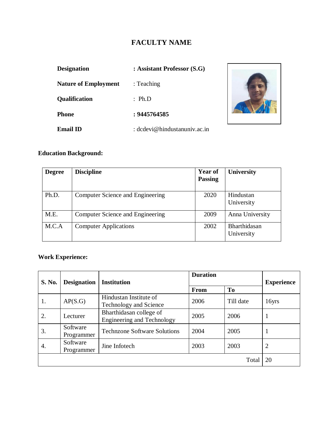# **FACULTY NAME**

| <b>Designation</b>          | : Assistant Professor (S.G)  |  |  |
|-----------------------------|------------------------------|--|--|
| <b>Nature of Employment</b> | : Teaching                   |  |  |
| <b>Qualification</b>        | : $Ph.D$                     |  |  |
| <b>Phone</b>                | : 9445764585                 |  |  |
| Email ID                    | : dcdevi@hindustanuniv.ac.in |  |  |



# **Education Background:**

| <b>Degree</b> | <b>Discipline</b>                | <b>Year of</b><br><b>Passing</b> | <b>University</b>          |
|---------------|----------------------------------|----------------------------------|----------------------------|
| Ph.D.         | Computer Science and Engineering | 2020                             | Hindustan<br>University    |
| M.E.          | Computer Science and Engineering | 2009                             | Anna University            |
| M.C.A         | <b>Computer Applications</b>     | 2002                             | Bharthidasan<br>University |

# **Work Experience:**

| <b>S. No.</b> | <b>Designation</b>     | <b>Institution</b>                                           | <b>Duration</b> |           | <b>Experience</b> |
|---------------|------------------------|--------------------------------------------------------------|-----------------|-----------|-------------------|
|               |                        |                                                              | <b>From</b>     | To        |                   |
| 1.            | AP(S.G)                | Hindustan Institute of<br><b>Technology and Science</b>      | 2006            | Till date | 16yrs             |
| 2.            | Lecturer               | Bharthidasan college of<br><b>Engineering and Technology</b> | 2005            | 2006      | T                 |
| 3.            | Software<br>Programmer | <b>Technzone Software Solutions</b>                          | 2004            | 2005      | 1                 |
| 4.            | Software<br>Programmer | Jine Infotech                                                | 2003            | 2003      | $\overline{2}$    |
|               |                        |                                                              |                 | Total     | 20                |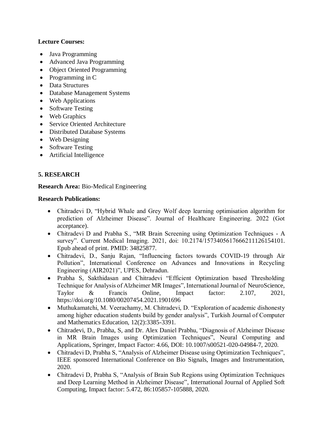### **Lecture Courses:**

- Java Programming
- Advanced Java Programming
- Object Oriented Programming
- $\bullet$  Programming in C
- Data Structures
- Database Management Systems
- Web Applications
- Software Testing
- Web Graphics
- Service Oriented Architecture
- Distributed Database Systems
- Web Designing
- Software Testing
- Artificial Intelligence

# **5. RESEARCH**

#### **Research Area:** Bio-Medical Engineering

#### **Research Publications:**

- Chitradevi D, "Hybrid Whale and Grey Wolf deep learning optimisation algorithm for prediction of Alzheimer Disease". Journal of Healthcare Engineering. 2022 (Got acceptance).
- Chitradevi D and Prabha S., "MR Brain Screening using Optimization Techniques A survey". Current Medical Imaging. 2021, doi: 10.2174/1573405617666211126154101. Epub ahead of print. PMID: 34825877.
- Chitradevi, D., Sanju Rajan, "Influencing factors towards COVID-19 through Air Pollution", International Conference on Advances and Innovations in Recycling Engineering (AIR2021)", UPES, Dehradun.
- Prabha S, Sakthidasan and Chitradevi "Efficient Optimization based Thresholding Technique for Analysis of Alzheimer MR Images", International Journal of NeuroScience, Taylor & Francis Online, Impact factor: 2.107, 2021, https://doi.org/10.1080/00207454.2021.1901696
- Muthukamatchi, M. Veerachamy, M. Chitradevi, D. "Exploration of academic dishonesty among higher education students build by gender analysis", Turkish Journal of Computer and Mathematics Education, 12(2):3385-3391.
- Chitradevi, D., Prabha, S, and Dr. Alex Daniel Prabhu, "Diagnosis of Alzheimer Disease in MR Brain Images using Optimization Techniques", Neural Computing and Applications, Springer, Impact Factor: 4.66, DOI: 10.1007/s00521-020-04984-7, 2020.
- Chitradevi D, Prabha S, "Analysis of Alzheimer Disease using Optimization Techniques", IEEE sponsored International Conference on Bio Signals, Images and Instrumentation, 2020.
- Chitradevi D, Prabha S, "Analysis of Brain Sub Regions using Optimization Techniques and Deep Learning Method in Alzheimer Disease", International Journal of Applied Soft Computing, Impact factor: 5.472, 86:105857-105888, 2020.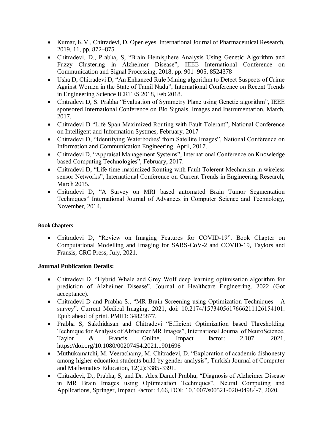- Kumar, K.V., Chitradevi, D, Open eyes, International Journal of Pharmaceutical Research, 2019, 11, pp. 872–875.
- Chitradevi, D., Prabha, S, "Brain Hemisphere Analysis Using Genetic Algorithm and Fuzzy Clustering in Alzheimer Disease", IEEE International Conference on Communication and Signal Processing, 2018, pp. 901–905, 8524378
- Usha D, Chitradevi D, "An Enhanced Rule Mining algorithm to Detect Suspects of Crime Against Women in the State of Tamil Nadu", International Conference on Recent Trends in Engineering Science ICRTES 2018, Feb 2018.
- Chitradevi D, S. Prabha "Evaluation of Symmetry Plane using Genetic algorithm", IEEE sponsored International Conference on Bio Signals, Images and Instrumentation, March, 2017.
- Chitradevi D "Life Span Maximized Routing with Fault Tolerant", National Conference on Intelligent and Information Systmes, February, 2017
- Chitradevi D, "Identifying Waterbodies' from Satellite Images", National Conference on Information and Communication Engineering, April, 2017.
- Chitradevi D, "Appraisal Management Systems", International Conference on Knowledge based Computing Technologies", February, 2017.
- Chitradevi D, "Life time maximized Routing with Fault Tolerent Mechanism in wireless sensor Networks", International Conference on Current Trends in Engineering Research, March 2015.
- Chitradevi D, "A Survey on MRI based automated Brain Tumor Segmentation Techniques" International Journal of Advances in Computer Science and Technology, November, 2014.

#### **Book Chapters**

 Chitradevi D, "Review on Imaging Features for COVID-19", Book Chapter on Computational Modelling and Imaging for SARS-CoV-2 and COVID-19, Taylors and Fransis, CRC Press, July, 2021.

#### **Journal Publication Details:**

- Chitradevi D, "Hybrid Whale and Grey Wolf deep learning optimisation algorithm for prediction of Alzheimer Disease". Journal of Healthcare Engineering. 2022 (Got acceptance).
- Chitradevi D and Prabha S., "MR Brain Screening using Optimization Techniques A survey". Current Medical Imaging. 2021, doi: 10.2174/1573405617666211126154101. Epub ahead of print. PMID: 34825877.
- Prabha S, Sakthidasan and Chitradevi "Efficient Optimization based Thresholding Technique for Analysis of Alzheimer MR Images", International Journal of NeuroScience, Taylor & Francis Online, Impact factor: 2.107, 2021, https://doi.org/10.1080/00207454.2021.1901696
- Muthukamatchi, M. Veerachamy, M. Chitradevi, D. "Exploration of academic dishonesty among higher education students build by gender analysis", Turkish Journal of Computer and Mathematics Education, 12(2):3385-3391.
- Chitradevi, D., Prabha, S, and Dr. Alex Daniel Prabhu, "Diagnosis of Alzheimer Disease in MR Brain Images using Optimization Techniques", Neural Computing and Applications, Springer, Impact Factor: 4.66, DOI: 10.1007/s00521-020-04984-7, 2020.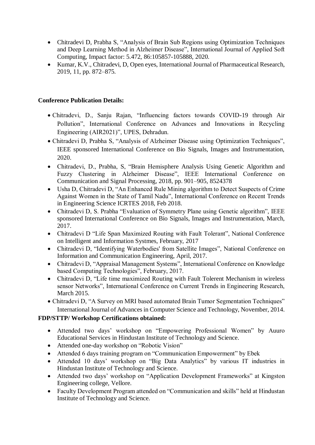- Chitradevi D, Prabha S, "Analysis of Brain Sub Regions using Optimization Techniques and Deep Learning Method in Alzheimer Disease", International Journal of Applied Soft Computing, Impact factor: 5.472, 86:105857-105888, 2020.
- Kumar, K.V., Chitradevi, D, Open eyes, International Journal of Pharmaceutical Research, 2019, 11, pp. 872–875.

#### **Conference Publication Details:**

- Chitradevi, D., Sanju Rajan, "Influencing factors towards COVID-19 through Air Pollution", International Conference on Advances and Innovations in Recycling Engineering (AIR2021)", UPES, Dehradun.
- Chitradevi D, Prabha S, "Analysis of Alzheimer Disease using Optimization Techniques", IEEE sponsored International Conference on Bio Signals, Images and Instrumentation, 2020.
- Chitradevi, D., Prabha, S, "Brain Hemisphere Analysis Using Genetic Algorithm and Fuzzy Clustering in Alzheimer Disease", IEEE International Conference on Communication and Signal Processing, 2018, pp. 901–905, 8524378
- Usha D, Chitradevi D, "An Enhanced Rule Mining algorithm to Detect Suspects of Crime Against Women in the State of Tamil Nadu", International Conference on Recent Trends in Engineering Science ICRTES 2018, Feb 2018.
- Chitradevi D, S. Prabha "Evaluation of Symmetry Plane using Genetic algorithm", IEEE sponsored International Conference on Bio Signals, Images and Instrumentation, March, 2017.
- Chitradevi D "Life Span Maximized Routing with Fault Tolerant", National Conference on Intelligent and Information Systmes, February, 2017
- Chitradevi D, "Identifying Waterbodies' from Satellite Images", National Conference on Information and Communication Engineering, April, 2017.
- Chitradevi D, "Appraisal Management Systems", International Conference on Knowledge based Computing Technologies", February, 2017.
- Chitradevi D, "Life time maximized Routing with Fault Tolerent Mechanism in wireless sensor Networks", International Conference on Current Trends in Engineering Research, March 2015.
- Chitradevi D, "A Survey on MRI based automated Brain Tumor Segmentation Techniques" International Journal of Advances in Computer Science and Technology, November, 2014.

# **FDP/STTP/ Workshop Certifications obtained:**

- Attended two days' workshop on "Empowering Professional Women" by Auuro Educational Services in Hindustan Institute of Technology and Science.
- Attended one-day workshop on "Robotic Vision"
- Attended 6 days training program on "Communication Empowerment" by Ebek
- Attended 10 days' workshop on "Big Data Analytics" by various IT industries in Hindustan Institute of Technology and Science.
- Attended two days' workshop on "Application Development Frameworks" at Kingston Engineering college, Vellore.
- Faculty Development Program attended on "Communication and skills" held at Hindustan Institute of Technology and Science.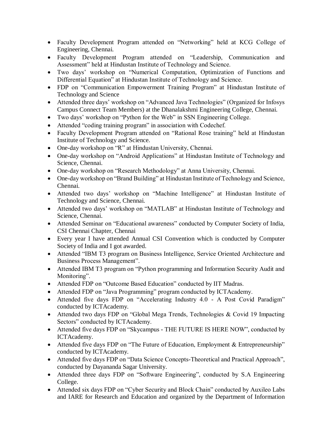- Faculty Development Program attended on "Networking" held at KCG College of Engineering, Chennai.
- Faculty Development Program attended on "Leadership, Communication and Assessment" held at Hindustan Institute of Technology and Science.
- Two days' workshop on "Numerical Computation, Optimization of Functions and Differential Equation" at Hindustan Institute of Technology and Science.
- FDP on "Communication Empowerment Training Program" at Hindustan Institute of Technology and Science
- Attended three days' workshop on "Advanced Java Technologies" (Organized for Infosys Campus Connect Team Members) at the Dhanalakshmi Engineering College, Chennai.
- Two days' workshop on "Python for the Web" in SSN Engineering College.
- Attended "coding training program" in association with Codechef.
- Faculty Development Program attended on "Rational Rose training" held at Hindustan Institute of Technology and Science.
- One-day workshop on "R" at Hindustan University, Chennai.
- One-day workshop on "Android Applications" at Hindustan Institute of Technology and Science, Chennai.
- One-day workshop on "Research Methodology" at Anna University, Chennai.
- One-day workshop on "Brand Building" at Hindustan Institute of Technology and Science, Chennai.
- Attended two days' workshop on "Machine Intelligence" at Hindustan Institute of Technology and Science, Chennai.
- Attended two days' workshop on "MATLAB" at Hindustan Institute of Technology and Science, Chennai.
- Attended Seminar on "Educational awareness" conducted by Computer Society of India, CSI Chennai Chapter, Chennai
- Every year I have attended Annual CSI Convention which is conducted by Computer Society of India and I got awarded.
- Attended "IBM T3 program on Business Intelligence, Service Oriented Architecture and Business Process Management".
- Attended IBM T3 program on "Python programming and Information Security Audit and Monitoring".
- Attended FDP on "Outcome Based Education" conducted by IIT Madras.
- Attended FDP on "Java Programming" program conducted by ICTAcademy.
- Attended five days FDP on "Accelerating Industry 4.0 A Post Covid Paradigm" conducted by ICTAcademy.
- Attended two days FDP on "Global Mega Trends, Technologies & Covid 19 Impacting Sectors" conducted by ICTAcademy.
- Attended five days FDP on "Skycampus THE FUTURE IS HERE NOW", conducted by ICTAcademy.
- Attended five days FDP on "The Future of Education, Employment & Entrepreneurship" conducted by ICTAcademy.
- Attended five days FDP on "Data Science Concepts-Theoretical and Practical Approach", conducted by Dayananda Sagar University.
- Attended three days FDP on "Software Engineering", conducted by S.A Engineering College.
- Attended six days FDP on "Cyber Security and Block Chain" conducted by Auxileo Labs and IARE for Research and Education and organized by the Department of Information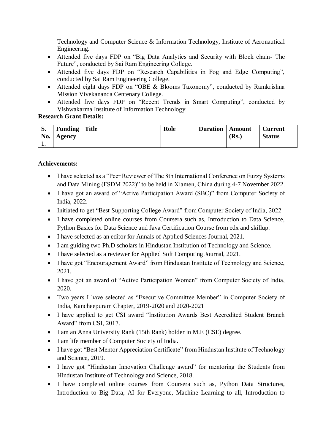Technology and Computer Science & Information Technology, Institute of Aeronautical Engineering.

- Attended five days FDP on "Big Data Analytics and Security with Block chain- The Future", conducted by Sai Ram Engineering College.
- Attended five days FDP on "Research Capabilities in Fog and Edge Computing", conducted by Sai Ram Engineering College.
- Attended eight days FDP on "OBE & Blooms Taxonomy", conducted by Ramkrishna Mission Vivekananda Centenary College.
- Attended five days FDP on "Recent Trends in Smart Computing", conducted by Vishwakarma Institute of Information Technology.

#### **Research Grant Details:**

| $\mathbf{C}$<br>p.<br>No. | <b>Funding</b> Title<br>Agency | Role | <b>Duration</b>   Amount | (Rs.) | <b>Current</b><br><b>Status</b> |
|---------------------------|--------------------------------|------|--------------------------|-------|---------------------------------|
| . .                       |                                |      |                          |       |                                 |

### **Achievements:**

- I have selected as a "Peer Reviewer of The 8th International Conference on Fuzzy Systems and Data Mining (FSDM 2022)" to be held in Xiamen, China during 4-7 November 2022.
- I have got an award of "Active Participation Award (SBC)" from Computer Society of India, 2022.
- Initiated to get "Best Supporting College Award" from Computer Society of India, 2022
- I have completed online courses from Coursera such as, Introduction to Data Science, Python Basics for Data Science and Java Certification Course from edx and skillup.
- I have selected as an editor for Annals of Applied Sciences Journal, 2021.
- I am guiding two Ph.D scholars in Hindustan Institution of Technology and Science.
- I have selected as a reviewer for Applied Soft Computing Journal, 2021.
- I have got "Encouragement Award" from Hindustan Institute of Technology and Science, 2021.
- I have got an award of "Active Participation Women" from Computer Society of India, 2020.
- Two years I have selected as "Executive Committee Member" in Computer Society of India, Kancheepuram Chapter, 2019-2020 and 2020-2021
- I have applied to get CSI award "Institution Awards Best Accredited Student Branch Award" from CSI, 2017.
- I am an Anna University Rank (15th Rank) holder in M.E (CSE) degree.
- I am life member of Computer Society of India.
- I have got "Best Mentor Appreciation Certificate" from Hindustan Institute of Technology and Science, 2019.
- I have got "Hindustan Innovation Challenge award" for mentoring the Students from Hindustan Institute of Technology and Science, 2018.
- I have completed online courses from Coursera such as, Python Data Structures, Introduction to Big Data, AI for Everyone, Machine Learning to all, Introduction to